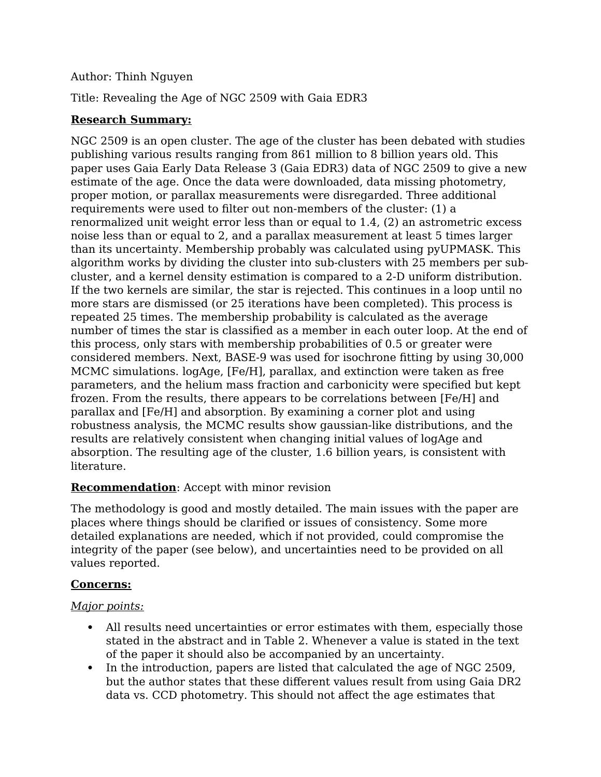## Author: Thinh Nguyen

Title: Revealing the Age of NGC 2509 with Gaia EDR3

## **Research Summary:**

NGC 2509 is an open cluster. The age of the cluster has been debated with studies publishing various results ranging from 861 million to 8 billion years old. This paper uses Gaia Early Data Release 3 (Gaia EDR3) data of NGC 2509 to give a new estimate of the age. Once the data were downloaded, data missing photometry, proper motion, or parallax measurements were disregarded. Three additional requirements were used to filter out non-members of the cluster: (1) a renormalized unit weight error less than or equal to 1.4, (2) an astrometric excess noise less than or equal to 2, and a parallax measurement at least 5 times larger than its uncertainty. Membership probably was calculated using pyUPMASK. This algorithm works by dividing the cluster into sub-clusters with 25 members per subcluster, and a kernel density estimation is compared to a 2-D uniform distribution. If the two kernels are similar, the star is rejected. This continues in a loop until no more stars are dismissed (or 25 iterations have been completed). This process is repeated 25 times. The membership probability is calculated as the average number of times the star is classified as a member in each outer loop. At the end of this process, only stars with membership probabilities of 0.5 or greater were considered members. Next, BASE-9 was used for isochrone fitting by using 30,000 MCMC simulations. logAge, [Fe/H], parallax, and extinction were taken as free parameters, and the helium mass fraction and carbonicity were specified but kept frozen. From the results, there appears to be correlations between [Fe/H] and parallax and [Fe/H] and absorption. By examining a corner plot and using robustness analysis, the MCMC results show gaussian-like distributions, and the results are relatively consistent when changing initial values of logAge and absorption. The resulting age of the cluster, 1.6 billion years, is consistent with literature.

## **Recommendation**: Accept with minor revision

The methodology is good and mostly detailed. The main issues with the paper are places where things should be clarified or issues of consistency. Some more detailed explanations are needed, which if not provided, could compromise the integrity of the paper (see below), and uncertainties need to be provided on all values reported.

## **Concerns:**

## *Major points:*

- All results need uncertainties or error estimates with them, especially those stated in the abstract and in Table 2. Whenever a value is stated in the text of the paper it should also be accompanied by an uncertainty.
- In the introduction, papers are listed that calculated the age of NGC 2509, but the author states that these different values result from using Gaia DR2 data vs. CCD photometry. This should not affect the age estimates that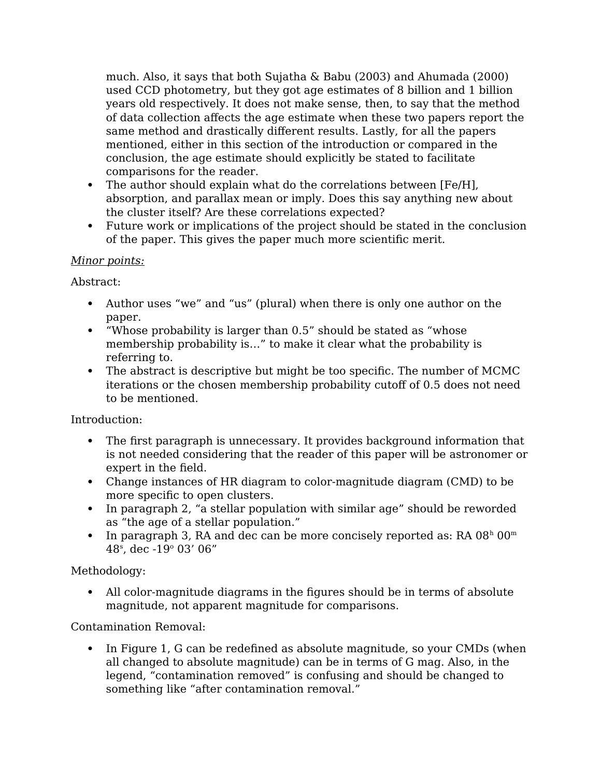much. Also, it says that both Sujatha & Babu (2003) and Ahumada (2000) used CCD photometry, but they got age estimates of 8 billion and 1 billion years old respectively. It does not make sense, then, to say that the method of data collection affects the age estimate when these two papers report the same method and drastically different results. Lastly, for all the papers mentioned, either in this section of the introduction or compared in the conclusion, the age estimate should explicitly be stated to facilitate comparisons for the reader.

- The author should explain what do the correlations between [Fe/H], absorption, and parallax mean or imply. Does this say anything new about the cluster itself? Are these correlations expected?
- Future work or implications of the project should be stated in the conclusion of the paper. This gives the paper much more scientific merit.

## *Minor points:*

Abstract:

- Author uses "we" and "us" (plural) when there is only one author on the paper.
- "Whose probability is larger than 0.5" should be stated as "whose membership probability is…" to make it clear what the probability is referring to.
- The abstract is descriptive but might be too specific. The number of MCMC iterations or the chosen membership probability cutoff of 0.5 does not need to be mentioned.

Introduction:

- The first paragraph is unnecessary. It provides background information that is not needed considering that the reader of this paper will be astronomer or expert in the field.
- Change instances of HR diagram to color-magnitude diagram (CMD) to be more specific to open clusters.
- In paragraph 2, "a stellar population with similar age" should be reworded as "the age of a stellar population."
- In paragraph 3, RA and dec can be more concisely reported as: RA  $08<sup>h</sup> 00<sup>m</sup>$ 48<sup>s</sup> , dec -19<sup>o</sup> 03' 06"

Methodology:

 All color-magnitude diagrams in the figures should be in terms of absolute magnitude, not apparent magnitude for comparisons.

Contamination Removal:

• In Figure 1, G can be redefined as absolute magnitude, so your CMDs (when all changed to absolute magnitude) can be in terms of G mag. Also, in the legend, "contamination removed" is confusing and should be changed to something like "after contamination removal."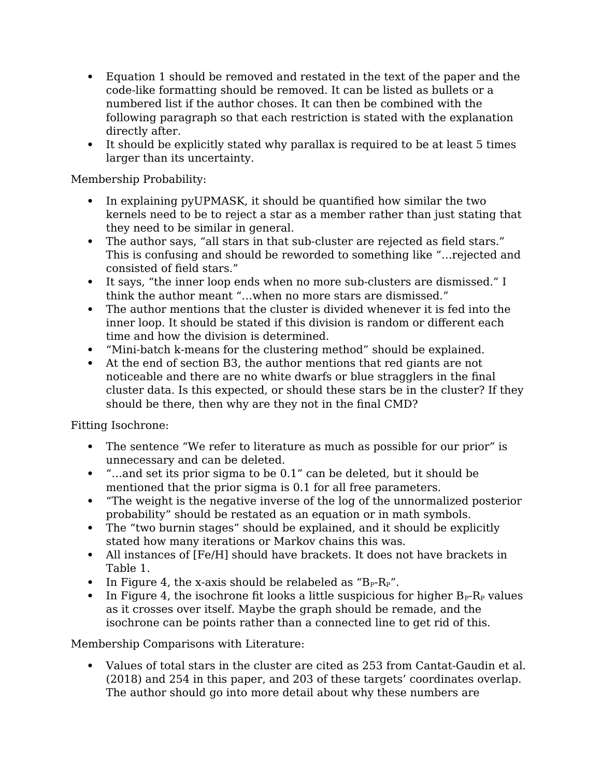- Equation 1 should be removed and restated in the text of the paper and the code-like formatting should be removed. It can be listed as bullets or a numbered list if the author choses. It can then be combined with the following paragraph so that each restriction is stated with the explanation directly after.
- It should be explicitly stated why parallax is required to be at least 5 times larger than its uncertainty.

Membership Probability:

- In explaining pyUPMASK, it should be quantified how similar the two kernels need to be to reject a star as a member rather than just stating that they need to be similar in general.
- The author says, "all stars in that sub-cluster are rejected as field stars." This is confusing and should be reworded to something like "…rejected and consisted of field stars."
- It says, "the inner loop ends when no more sub-clusters are dismissed." I think the author meant "…when no more stars are dismissed."
- The author mentions that the cluster is divided whenever it is fed into the inner loop. It should be stated if this division is random or different each time and how the division is determined.
- "Mini-batch k-means for the clustering method" should be explained.
- At the end of section B3, the author mentions that red giants are not noticeable and there are no white dwarfs or blue stragglers in the final cluster data. Is this expected, or should these stars be in the cluster? If they should be there, then why are they not in the final CMD?

Fitting Isochrone:

- The sentence "We refer to literature as much as possible for our prior" is unnecessary and can be deleted.
- "…and set its prior sigma to be 0.1" can be deleted, but it should be mentioned that the prior sigma is 0.1 for all free parameters.
- "The weight is the negative inverse of the log of the unnormalized posterior probability" should be restated as an equation or in math symbols.
- The "two burnin stages" should be explained, and it should be explicitly stated how many iterations or Markov chains this was.
- All instances of [Fe/H] should have brackets. It does not have brackets in Table 1.
- In Figure 4, the x-axis should be relabeled as " $B_P R_P$ ".
- In Figure 4, the isochrone fit looks a little suspicious for higher  $B_P-R_P$  values as it crosses over itself. Maybe the graph should be remade, and the isochrone can be points rather than a connected line to get rid of this.

Membership Comparisons with Literature:

 Values of total stars in the cluster are cited as 253 from Cantat-Gaudin et al. (2018) and 254 in this paper, and 203 of these targets' coordinates overlap. The author should go into more detail about why these numbers are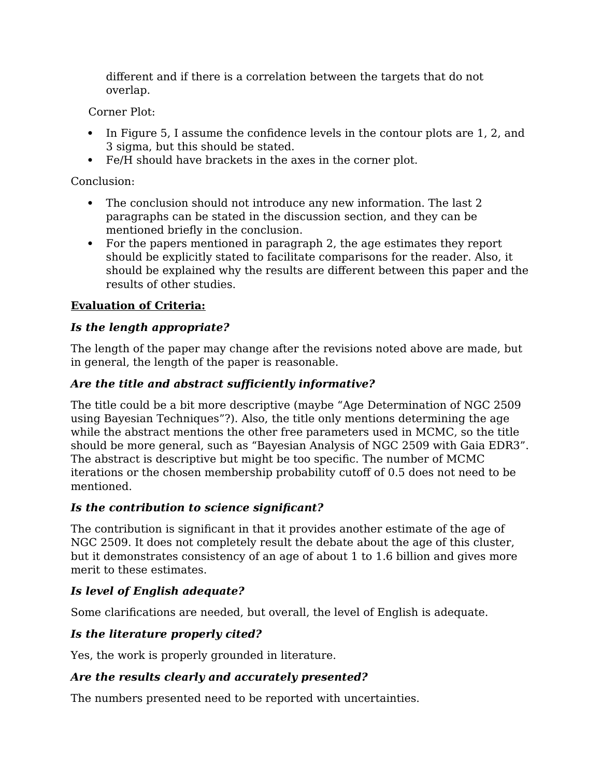different and if there is a correlation between the targets that do not overlap.

Corner Plot:

- In Figure 5, I assume the confidence levels in the contour plots are 1, 2, and 3 sigma, but this should be stated.
- Fe/H should have brackets in the axes in the corner plot.

Conclusion:

- The conclusion should not introduce any new information. The last 2 paragraphs can be stated in the discussion section, and they can be mentioned briefly in the conclusion.
- For the papers mentioned in paragraph 2, the age estimates they report should be explicitly stated to facilitate comparisons for the reader. Also, it should be explained why the results are different between this paper and the results of other studies.

# **Evaluation of Criteria:**

# *Is the length appropriate?*

The length of the paper may change after the revisions noted above are made, but in general, the length of the paper is reasonable.

# *Are the title and abstract sufficiently informative?*

The title could be a bit more descriptive (maybe "Age Determination of NGC 2509 using Bayesian Techniques"?). Also, the title only mentions determining the age while the abstract mentions the other free parameters used in MCMC, so the title should be more general, such as "Bayesian Analysis of NGC 2509 with Gaia EDR3". The abstract is descriptive but might be too specific. The number of MCMC iterations or the chosen membership probability cutoff of 0.5 does not need to be mentioned.

# *Is the contribution to science significant?*

The contribution is significant in that it provides another estimate of the age of NGC 2509. It does not completely result the debate about the age of this cluster, but it demonstrates consistency of an age of about 1 to 1.6 billion and gives more merit to these estimates.

# *Is level of English adequate?*

Some clarifications are needed, but overall, the level of English is adequate.

# *Is the literature properly cited?*

Yes, the work is properly grounded in literature.

# *Are the results clearly and accurately presented?*

The numbers presented need to be reported with uncertainties.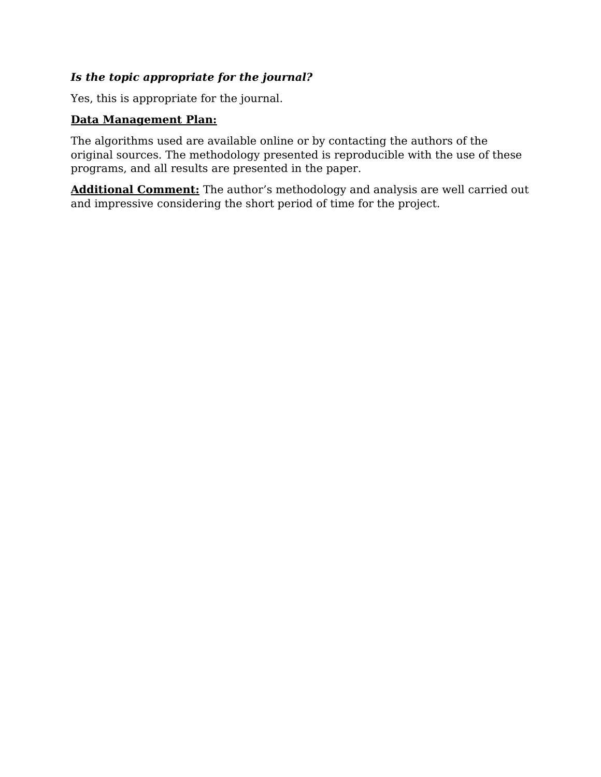## *Is the topic appropriate for the journal?*

Yes, this is appropriate for the journal.

## **Data Management Plan:**

The algorithms used are available online or by contacting the authors of the original sources. The methodology presented is reproducible with the use of these programs, and all results are presented in the paper.

**Additional Comment:** The author's methodology and analysis are well carried out and impressive considering the short period of time for the project.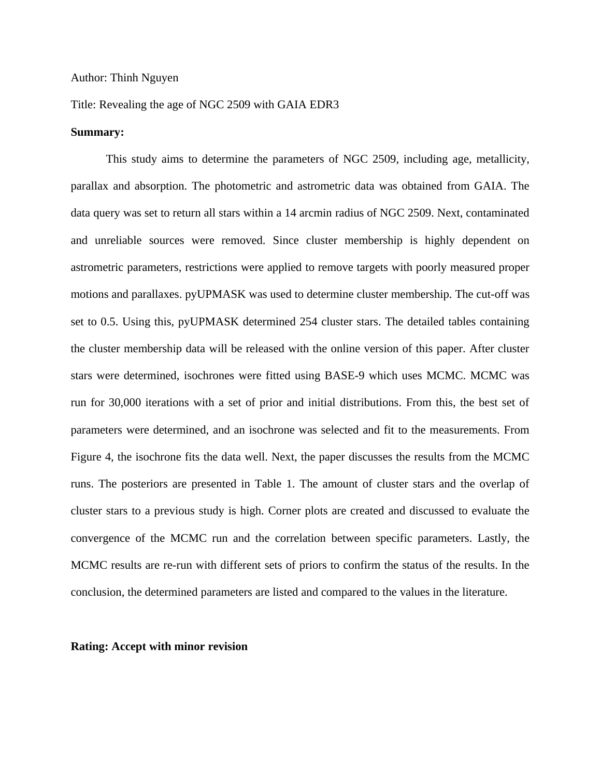#### Author: Thinh Nguyen

#### Title: Revealing the age of NGC 2509 with GAIA EDR3

#### **Summary:**

This study aims to determine the parameters of NGC 2509, including age, metallicity, parallax and absorption. The photometric and astrometric data was obtained from GAIA. The data query was set to return all stars within a 14 arcmin radius of NGC 2509. Next, contaminated and unreliable sources were removed. Since cluster membership is highly dependent on astrometric parameters, restrictions were applied to remove targets with poorly measured proper motions and parallaxes. pyUPMASK was used to determine cluster membership. The cut-off was set to 0.5. Using this, pyUPMASK determined 254 cluster stars. The detailed tables containing the cluster membership data will be released with the online version of this paper. After cluster stars were determined, isochrones were fitted using BASE-9 which uses MCMC. MCMC was run for 30,000 iterations with a set of prior and initial distributions. From this, the best set of parameters were determined, and an isochrone was selected and fit to the measurements. From Figure 4, the isochrone fits the data well. Next, the paper discusses the results from the MCMC runs. The posteriors are presented in Table 1. The amount of cluster stars and the overlap of cluster stars to a previous study is high. Corner plots are created and discussed to evaluate the convergence of the MCMC run and the correlation between specific parameters. Lastly, the MCMC results are re-run with different sets of priors to confirm the status of the results. In the conclusion, the determined parameters are listed and compared to the values in the literature.

#### **Rating: Accept with minor revision**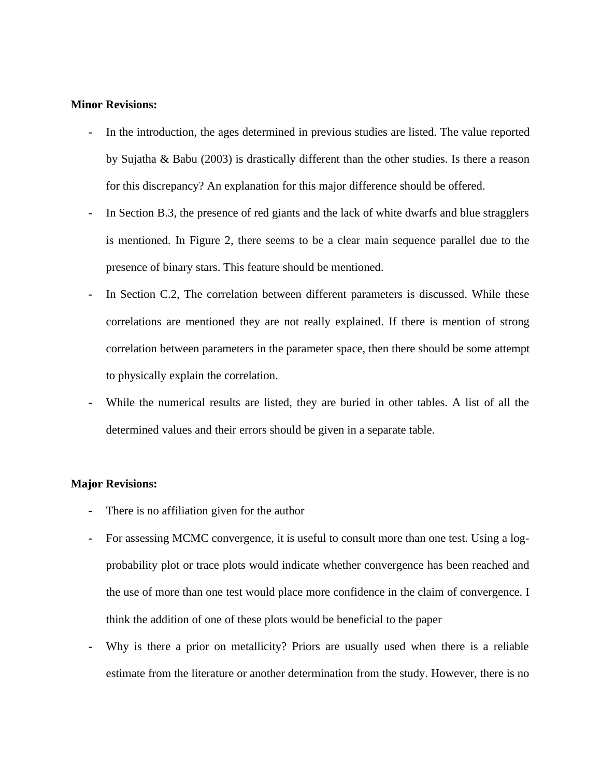#### **Minor Revisions:**

- **-** In the introduction, the ages determined in previous studies are listed. The value reported by Sujatha & Babu (2003) is drastically different than the other studies. Is there a reason for this discrepancy? An explanation for this major difference should be offered.
- **-** In Section B.3, the presence of red giants and the lack of white dwarfs and blue stragglers is mentioned. In Figure 2, there seems to be a clear main sequence parallel due to the presence of binary stars. This feature should be mentioned.
- In Section C.2, The correlation between different parameters is discussed. While these correlations are mentioned they are not really explained. If there is mention of strong correlation between parameters in the parameter space, then there should be some attempt to physically explain the correlation.
- **-** While the numerical results are listed, they are buried in other tables. A list of all the determined values and their errors should be given in a separate table.

#### **Major Revisions:**

- **-** There is no affiliation given for the author
- **-** For assessing MCMC convergence, it is useful to consult more than one test. Using a logprobability plot or trace plots would indicate whether convergence has been reached and the use of more than one test would place more confidence in the claim of convergence. I think the addition of one of these plots would be beneficial to the paper
- **-** Why is there a prior on metallicity? Priors are usually used when there is a reliable estimate from the literature or another determination from the study. However, there is no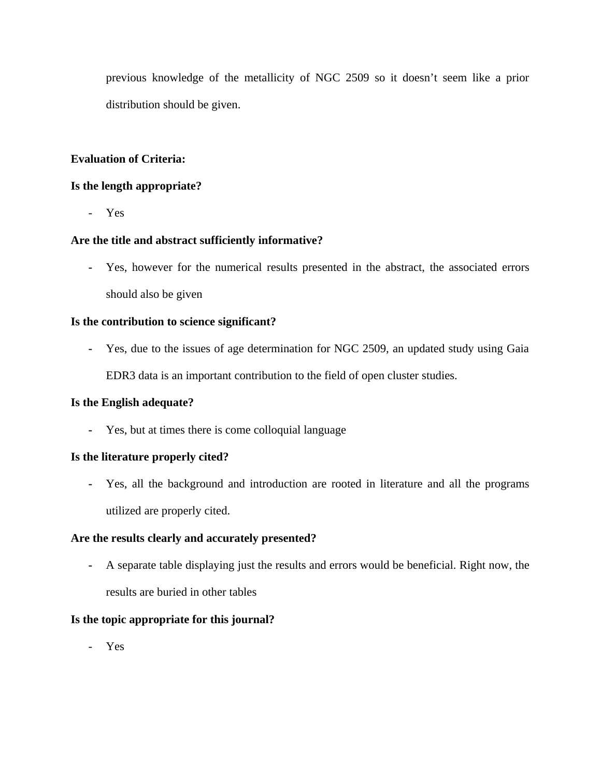previous knowledge of the metallicity of NGC 2509 so it doesn't seem like a prior distribution should be given.

## **Evaluation of Criteria:**

### **Is the length appropriate?**

- Yes

## **Are the title and abstract sufficiently informative?**

**-** Yes, however for the numerical results presented in the abstract, the associated errors should also be given

### **Is the contribution to science significant?**

**-** Yes, due to the issues of age determination for NGC 2509, an updated study using Gaia EDR3 data is an important contribution to the field of open cluster studies.

### **Is the English adequate?**

**-** Yes, but at times there is come colloquial language

### **Is the literature properly cited?**

**-** Yes, all the background and introduction are rooted in literature and all the programs utilized are properly cited.

### **Are the results clearly and accurately presented?**

**-** A separate table displaying just the results and errors would be beneficial. Right now, the results are buried in other tables

### **Is the topic appropriate for this journal?**

- Yes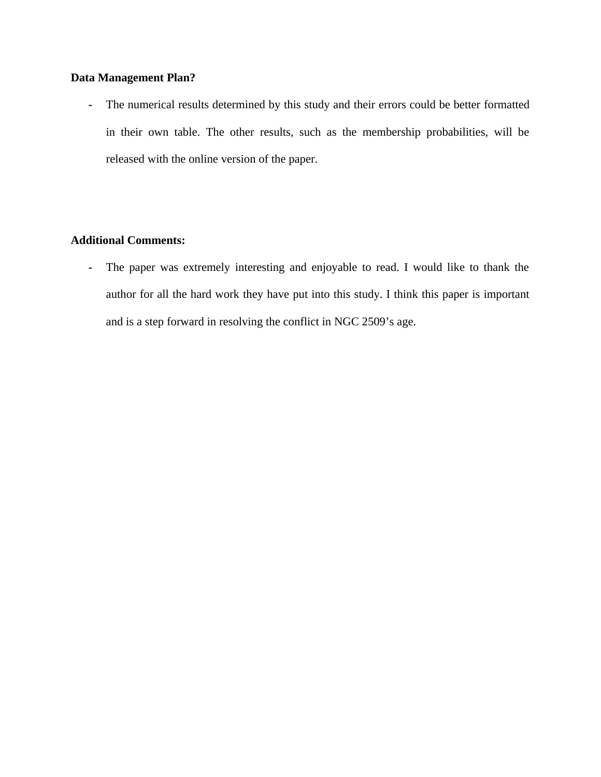## **Data Management Plan?**

**-** The numerical results determined by this study and their errors could be better formatted in their own table. The other results, such as the membership probabilities, will be released with the online version of the paper.

## **Additional Comments:**

**-** The paper was extremely interesting and enjoyable to read. I would like to thank the author for all the hard work they have put into this study. I think this paper is important and is a step forward in resolving the conflict in NGC 2509's age.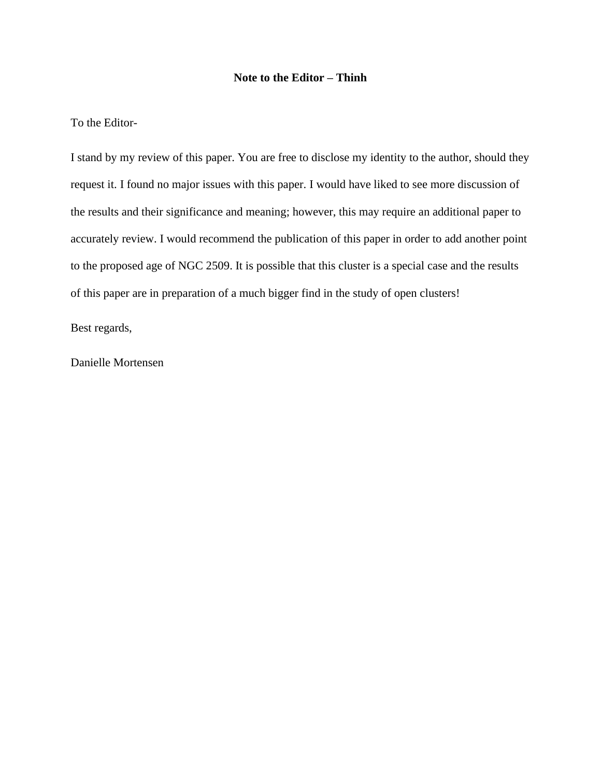#### **Note to the Editor – Thinh**

#### To the Editor-

I stand by my review of this paper. You are free to disclose my identity to the author, should they request it. I found no major issues with this paper. I would have liked to see more discussion of the results and their significance and meaning; however, this may require an additional paper to accurately review. I would recommend the publication of this paper in order to add another point to the proposed age of NGC 2509. It is possible that this cluster is a special case and the results of this paper are in preparation of a much bigger find in the study of open clusters!

Best regards,

Danielle Mortensen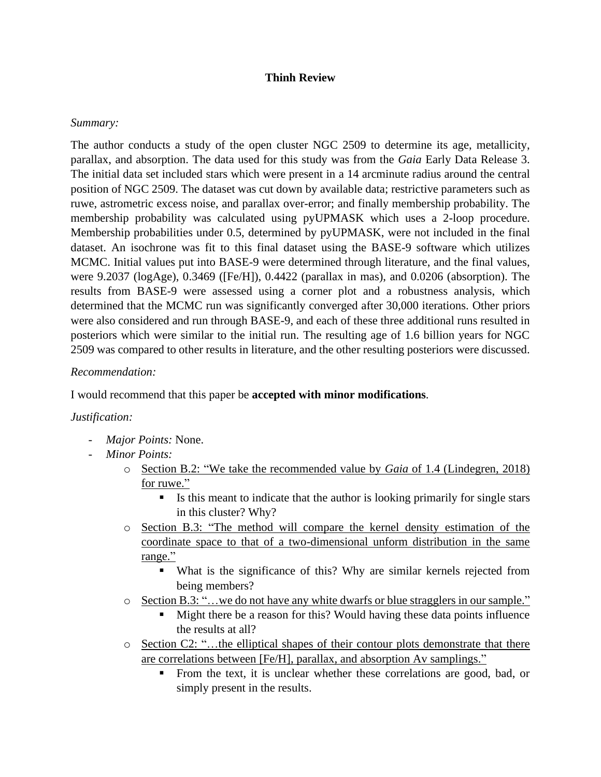### **Thinh Review**

### *Summary:*

The author conducts a study of the open cluster NGC 2509 to determine its age, metallicity, parallax, and absorption. The data used for this study was from the *Gaia* Early Data Release 3. The initial data set included stars which were present in a 14 arcminute radius around the central position of NGC 2509. The dataset was cut down by available data; restrictive parameters such as ruwe, astrometric excess noise, and parallax over-error; and finally membership probability. The membership probability was calculated using pyUPMASK which uses a 2-loop procedure. Membership probabilities under 0.5, determined by pyUPMASK, were not included in the final dataset. An isochrone was fit to this final dataset using the BASE-9 software which utilizes MCMC. Initial values put into BASE-9 were determined through literature, and the final values, were 9.2037 (logAge), 0.3469 ([Fe/H]), 0.4422 (parallax in mas), and 0.0206 (absorption). The results from BASE-9 were assessed using a corner plot and a robustness analysis, which determined that the MCMC run was significantly converged after 30,000 iterations. Other priors were also considered and run through BASE-9, and each of these three additional runs resulted in posteriors which were similar to the initial run. The resulting age of 1.6 billion years for NGC 2509 was compared to other results in literature, and the other resulting posteriors were discussed.

### *Recommendation:*

I would recommend that this paper be **accepted with minor modifications**.

### *Justification:*

- *Major Points:* None.
- *Minor Points:*
	- o Section B.2: "We take the recommended value by *Gaia* of 1.4 (Lindegren, 2018) for ruwe."
		- Is this meant to indicate that the author is looking primarily for single stars in this cluster? Why?
	- o Section B.3: "The method will compare the kernel density estimation of the coordinate space to that of a two-dimensional unform distribution in the same range."
		- What is the significance of this? Why are similar kernels rejected from being members?
	- o Section B.3: "…we do not have any white dwarfs or blue stragglers in our sample."
		- Might there be a reason for this? Would having these data points influence the results at all?
	- o Section C2: "…the elliptical shapes of their contour plots demonstrate that there are correlations between [Fe/H], parallax, and absorption Av samplings."
		- From the text, it is unclear whether these correlations are good, bad, or simply present in the results.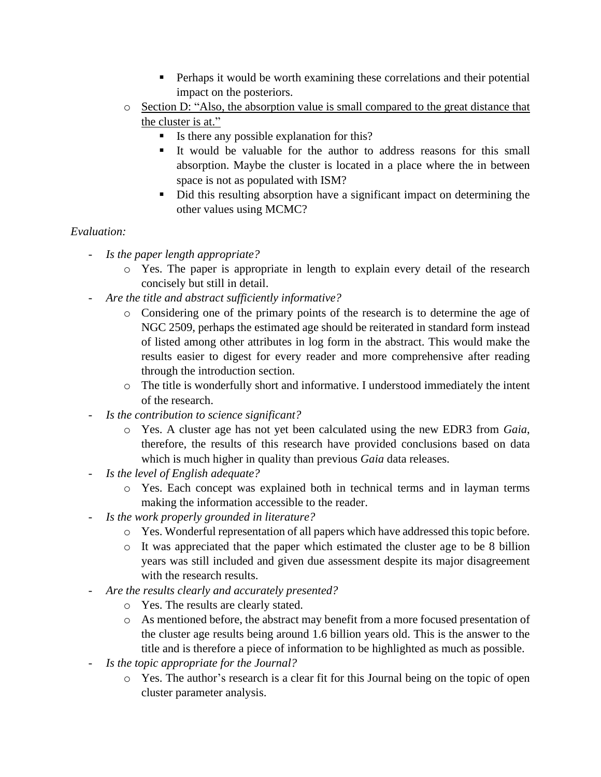- **•** Perhaps it would be worth examining these correlations and their potential impact on the posteriors.
- o Section D: "Also, the absorption value is small compared to the great distance that the cluster is at."
	- Is there any possible explanation for this?
	- It would be valuable for the author to address reasons for this small absorption. Maybe the cluster is located in a place where the in between space is not as populated with ISM?
	- Did this resulting absorption have a significant impact on determining the other values using MCMC?

## *Evaluation:*

- *Is the paper length appropriate?*
	- o Yes. The paper is appropriate in length to explain every detail of the research concisely but still in detail.
- *Are the title and abstract sufficiently informative?*
	- o Considering one of the primary points of the research is to determine the age of NGC 2509, perhaps the estimated age should be reiterated in standard form instead of listed among other attributes in log form in the abstract. This would make the results easier to digest for every reader and more comprehensive after reading through the introduction section.
	- $\circ$  The title is wonderfully short and informative. I understood immediately the intent of the research.
- *Is the contribution to science significant?*
	- o Yes. A cluster age has not yet been calculated using the new EDR3 from *Gaia*, therefore, the results of this research have provided conclusions based on data which is much higher in quality than previous *Gaia* data releases.
- *Is the level of English adequate?*
	- o Yes. Each concept was explained both in technical terms and in layman terms making the information accessible to the reader.
- *Is the work properly grounded in literature?*
	- o Yes. Wonderful representation of all papers which have addressed this topic before.
	- o It was appreciated that the paper which estimated the cluster age to be 8 billion years was still included and given due assessment despite its major disagreement with the research results.
- *Are the results clearly and accurately presented?*
	- o Yes. The results are clearly stated.
	- o As mentioned before, the abstract may benefit from a more focused presentation of the cluster age results being around 1.6 billion years old. This is the answer to the title and is therefore a piece of information to be highlighted as much as possible.
- *Is the topic appropriate for the Journal?*
	- o Yes. The author's research is a clear fit for this Journal being on the topic of open cluster parameter analysis.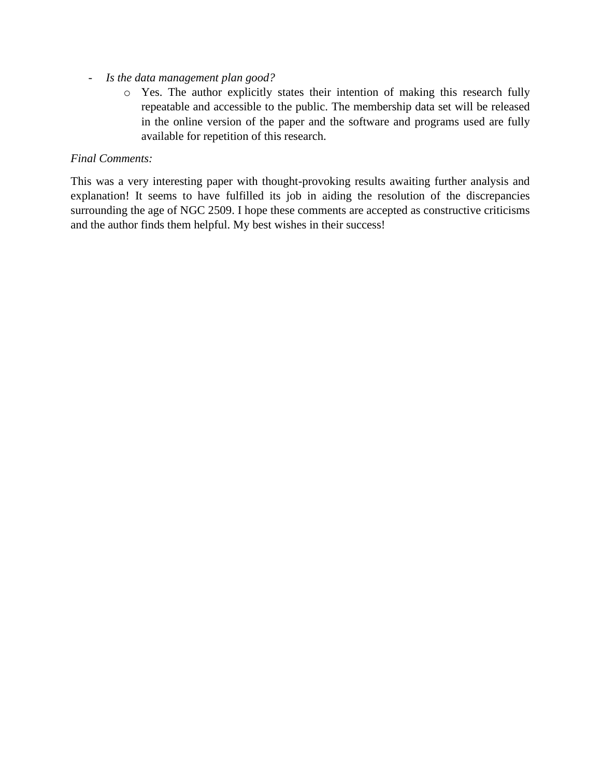- *Is the data management plan good?*
	- o Yes. The author explicitly states their intention of making this research fully repeatable and accessible to the public. The membership data set will be released in the online version of the paper and the software and programs used are fully available for repetition of this research.

## *Final Comments:*

This was a very interesting paper with thought-provoking results awaiting further analysis and explanation! It seems to have fulfilled its job in aiding the resolution of the discrepancies surrounding the age of NGC 2509. I hope these comments are accepted as constructive criticisms and the author finds them helpful. My best wishes in their success!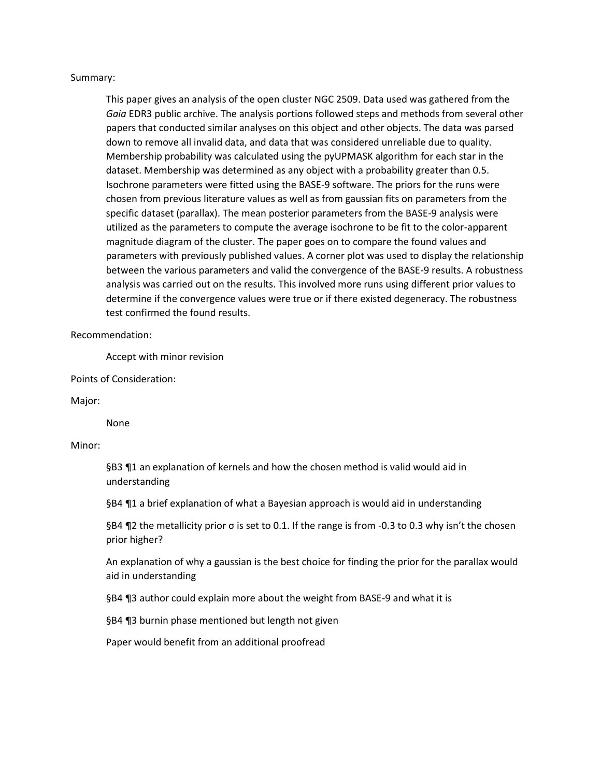#### Summary:

This paper gives an analysis of the open cluster NGC 2509. Data used was gathered from the *Gaia* EDR3 public archive. The analysis portions followed steps and methods from several other papers that conducted similar analyses on this object and other objects. The data was parsed down to remove all invalid data, and data that was considered unreliable due to quality. Membership probability was calculated using the pyUPMASK algorithm for each star in the dataset. Membership was determined as any object with a probability greater than 0.5. Isochrone parameters were fitted using the BASE-9 software. The priors for the runs were chosen from previous literature values as well as from gaussian fits on parameters from the specific dataset (parallax). The mean posterior parameters from the BASE-9 analysis were utilized as the parameters to compute the average isochrone to be fit to the color-apparent magnitude diagram of the cluster. The paper goes on to compare the found values and parameters with previously published values. A corner plot was used to display the relationship between the various parameters and valid the convergence of the BASE-9 results. A robustness analysis was carried out on the results. This involved more runs using different prior values to determine if the convergence values were true or if there existed degeneracy. The robustness test confirmed the found results.

#### Recommendation:

Accept with minor revision

Points of Consideration:

#### Major:

None

#### Minor:

§B3 ¶1 an explanation of kernels and how the chosen method is valid would aid in understanding

§B4 ¶1 a brief explanation of what a Bayesian approach is would aid in understanding

§B4 ¶2 the metallicity prior σ is set to 0.1. If the range is from -0.3 to 0.3 why isn't the chosen prior higher?

An explanation of why a gaussian is the best choice for finding the prior for the parallax would aid in understanding

§B4 ¶3 author could explain more about the weight from BASE-9 and what it is

§B4 ¶3 burnin phase mentioned but length not given

Paper would benefit from an additional proofread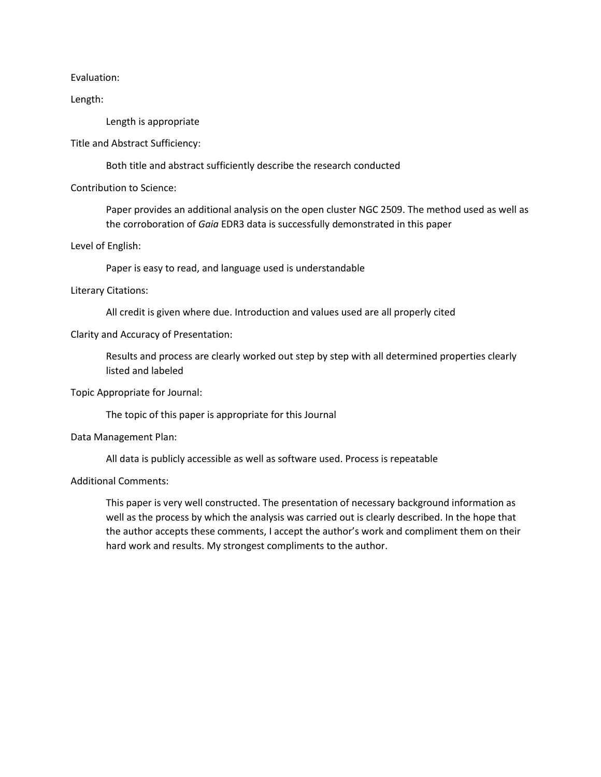Evaluation:

Length:

Length is appropriate

Title and Abstract Sufficiency:

Both title and abstract sufficiently describe the research conducted

Contribution to Science:

Paper provides an additional analysis on the open cluster NGC 2509. The method used as well as the corroboration of *Gaia* EDR3 data is successfully demonstrated in this paper

Level of English:

Paper is easy to read, and language used is understandable

#### Literary Citations:

All credit is given where due. Introduction and values used are all properly cited

#### Clarity and Accuracy of Presentation:

Results and process are clearly worked out step by step with all determined properties clearly listed and labeled

Topic Appropriate for Journal:

The topic of this paper is appropriate for this Journal

Data Management Plan:

All data is publicly accessible as well as software used. Process is repeatable

Additional Comments:

This paper is very well constructed. The presentation of necessary background information as well as the process by which the analysis was carried out is clearly described. In the hope that the author accepts these comments, I accept the author's work and compliment them on their hard work and results. My strongest compliments to the author.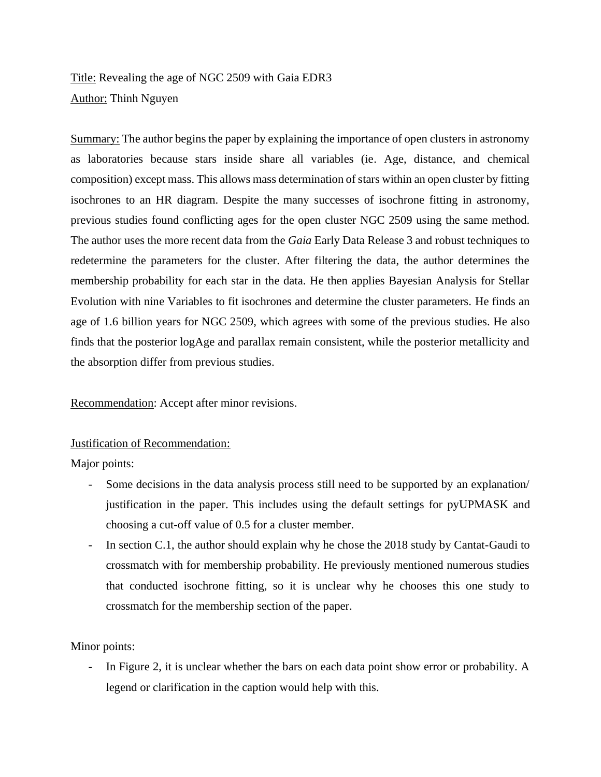Title: Revealing the age of NGC 2509 with Gaia EDR3 Author: Thinh Nguyen

Summary: The author begins the paper by explaining the importance of open clusters in astronomy as laboratories because stars inside share all variables (ie. Age, distance, and chemical composition) except mass. This allows mass determination of stars within an open cluster by fitting isochrones to an HR diagram. Despite the many successes of isochrone fitting in astronomy, previous studies found conflicting ages for the open cluster NGC 2509 using the same method. The author uses the more recent data from the *Gaia* Early Data Release 3 and robust techniques to redetermine the parameters for the cluster. After filtering the data, the author determines the membership probability for each star in the data. He then applies Bayesian Analysis for Stellar Evolution with nine Variables to fit isochrones and determine the cluster parameters. He finds an age of 1.6 billion years for NGC 2509, which agrees with some of the previous studies. He also finds that the posterior logAge and parallax remain consistent, while the posterior metallicity and the absorption differ from previous studies.

Recommendation: Accept after minor revisions.

### Justification of Recommendation:

Major points:

- Some decisions in the data analysis process still need to be supported by an explanation/ justification in the paper. This includes using the default settings for pyUPMASK and choosing a cut-off value of 0.5 for a cluster member.
- In section C.1, the author should explain why he chose the 2018 study by Cantat-Gaudi to crossmatch with for membership probability. He previously mentioned numerous studies that conducted isochrone fitting, so it is unclear why he chooses this one study to crossmatch for the membership section of the paper.

### Minor points:

In Figure 2, it is unclear whether the bars on each data point show error or probability. A legend or clarification in the caption would help with this.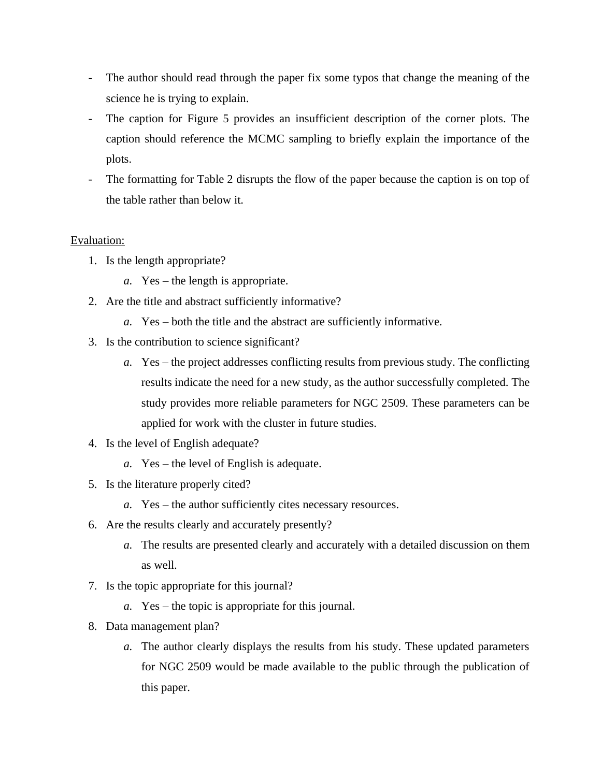- The author should read through the paper fix some typos that change the meaning of the science he is trying to explain.
- The caption for Figure 5 provides an insufficient description of the corner plots. The caption should reference the MCMC sampling to briefly explain the importance of the plots.
- The formatting for Table 2 disrupts the flow of the paper because the caption is on top of the table rather than below it.

## Evaluation:

- 1. Is the length appropriate?
	- *a.* Yes the length is appropriate.
- 2. Are the title and abstract sufficiently informative?
	- *a.* Yes both the title and the abstract are sufficiently informative.
- 3. Is the contribution to science significant?
	- *a.* Yes the project addresses conflicting results from previous study. The conflicting results indicate the need for a new study, as the author successfully completed. The study provides more reliable parameters for NGC 2509. These parameters can be applied for work with the cluster in future studies.
- 4. Is the level of English adequate?
	- *a.* Yes the level of English is adequate.
- 5. Is the literature properly cited?
	- *a.* Yes the author sufficiently cites necessary resources.
- 6. Are the results clearly and accurately presently?
	- *a.* The results are presented clearly and accurately with a detailed discussion on them as well.
- 7. Is the topic appropriate for this journal?
	- *a.* Yes the topic is appropriate for this journal.
- 8. Data management plan?
	- *a.* The author clearly displays the results from his study. These updated parameters for NGC 2509 would be made available to the public through the publication of this paper.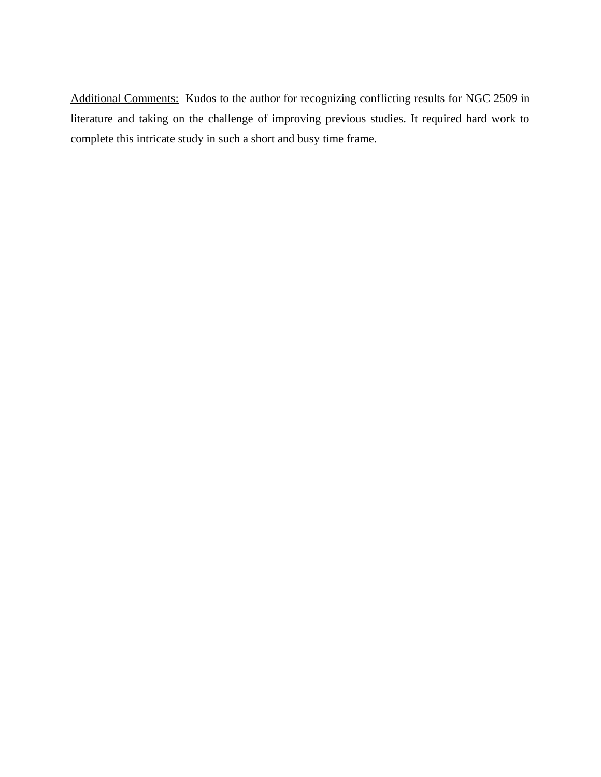Additional Comments: Kudos to the author for recognizing conflicting results for NGC 2509 in literature and taking on the challenge of improving previous studies. It required hard work to complete this intricate study in such a short and busy time frame.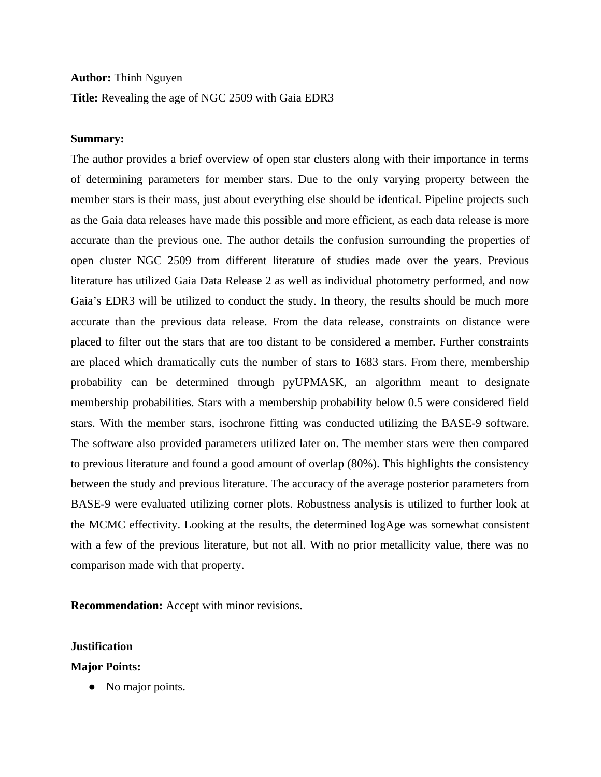#### **Author:** Thinh Nguyen

**Title:** Revealing the age of NGC 2509 with Gaia EDR3

#### **Summary:**

The author provides a brief overview of open star clusters along with their importance in terms of determining parameters for member stars. Due to the only varying property between the member stars is their mass, just about everything else should be identical. Pipeline projects such as the Gaia data releases have made this possible and more efficient, as each data release is more accurate than the previous one. The author details the confusion surrounding the properties of open cluster NGC 2509 from different literature of studies made over the years. Previous literature has utilized Gaia Data Release 2 as well as individual photometry performed, and now Gaia's EDR3 will be utilized to conduct the study. In theory, the results should be much more accurate than the previous data release. From the data release, constraints on distance were placed to filter out the stars that are too distant to be considered a member. Further constraints are placed which dramatically cuts the number of stars to 1683 stars. From there, membership probability can be determined through pyUPMASK, an algorithm meant to designate membership probabilities. Stars with a membership probability below 0.5 were considered field stars. With the member stars, isochrone fitting was conducted utilizing the BASE-9 software. The software also provided parameters utilized later on. The member stars were then compared to previous literature and found a good amount of overlap (80%). This highlights the consistency between the study and previous literature. The accuracy of the average posterior parameters from BASE-9 were evaluated utilizing corner plots. Robustness analysis is utilized to further look at the MCMC effectivity. Looking at the results, the determined logAge was somewhat consistent with a few of the previous literature, but not all. With no prior metallicity value, there was no comparison made with that property.

**Recommendation:** Accept with minor revisions.

#### **Justification**

#### **Major Points:**

• No major points.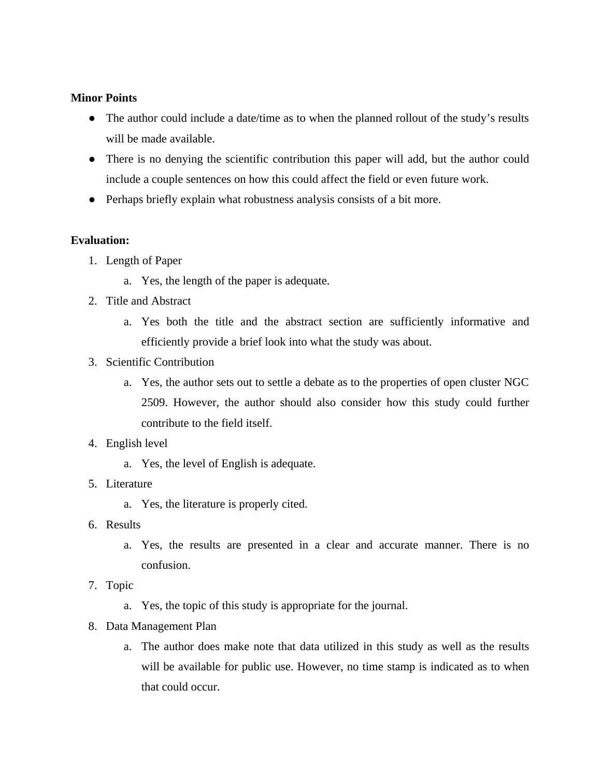### **Minor Points**

- The author could include a date/time as to when the planned rollout of the study's results will be made available.
- There is no denying the scientific contribution this paper will add, but the author could include a couple sentences on how this could affect the field or even future work.
- Perhaps briefly explain what robustness analysis consists of a bit more.

## **Evaluation:**

- 1. Length of Paper
	- a. Yes, the length of the paper is adequate.
- 2. Title and Abstract
	- a. Yes both the title and the abstract section are sufficiently informative and efficiently provide a brief look into what the study was about.
- 3. Scientific Contribution
	- a. Yes, the author sets out to settle a debate as to the properties of open cluster NGC 2509. However, the author should also consider how this study could further contribute to the field itself.
- 4. English level
	- a. Yes, the level of English is adequate.
- 5. Literature
	- a. Yes, the literature is properly cited.
- 6. Results
	- a. Yes, the results are presented in a clear and accurate manner. There is no confusion.
- 7. Topic
	- a. Yes, the topic of this study is appropriate for the journal.
- 8. Data Management Plan
	- a. The author does make note that data utilized in this study as well as the results will be available for public use. However, no time stamp is indicated as to when that could occur.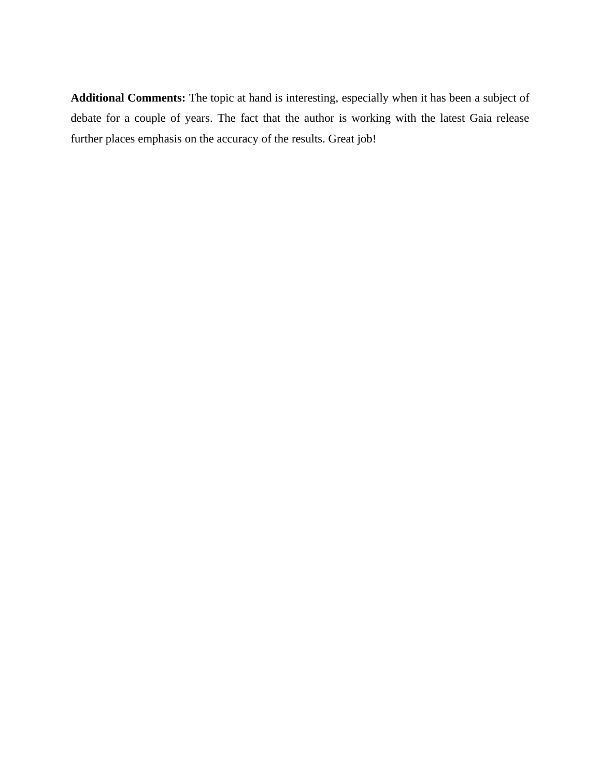**Additional Comments:** The topic at hand is interesting, especially when it has been a subject of debate for a couple of years. The fact that the author is working with the latest Gaia release further places emphasis on the accuracy of the results. Great job!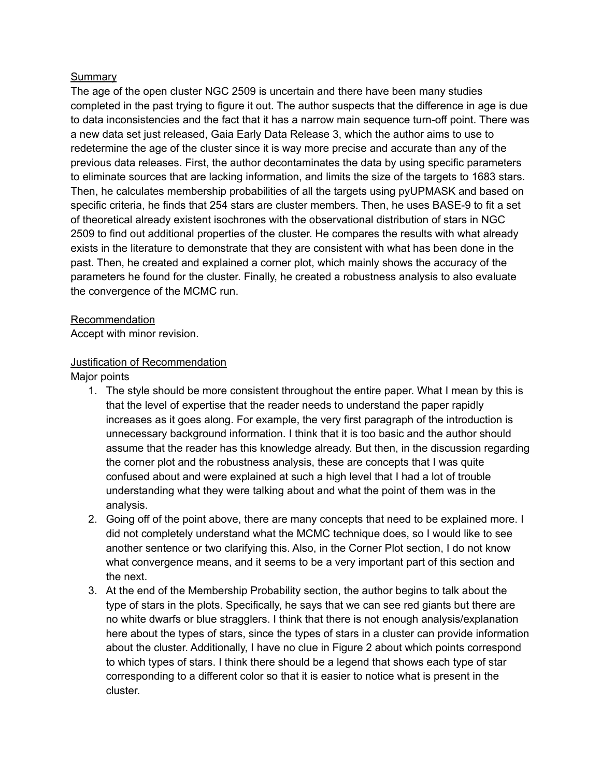## Summary

The age of the open cluster NGC 2509 is uncertain and there have been many studies completed in the past trying to figure it out. The author suspects that the difference in age is due to data inconsistencies and the fact that it has a narrow main sequence turn-off point. There was a new data set just released, Gaia Early Data Release 3, which the author aims to use to redetermine the age of the cluster since it is way more precise and accurate than any of the previous data releases. First, the author decontaminates the data by using specific parameters to eliminate sources that are lacking information, and limits the size of the targets to 1683 stars. Then, he calculates membership probabilities of all the targets using pyUPMASK and based on specific criteria, he finds that 254 stars are cluster members. Then, he uses BASE-9 to fit a set of theoretical already existent isochrones with the observational distribution of stars in NGC 2509 to find out additional properties of the cluster. He compares the results with what already exists in the literature to demonstrate that they are consistent with what has been done in the past. Then, he created and explained a corner plot, which mainly shows the accuracy of the parameters he found for the cluster. Finally, he created a robustness analysis to also evaluate the convergence of the MCMC run.

### Recommendation

Accept with minor revision.

## Justification of Recommendation

Major points

- 1. The style should be more consistent throughout the entire paper. What I mean by this is that the level of expertise that the reader needs to understand the paper rapidly increases as it goes along. For example, the very first paragraph of the introduction is unnecessary background information. I think that it is too basic and the author should assume that the reader has this knowledge already. But then, in the discussion regarding the corner plot and the robustness analysis, these are concepts that I was quite confused about and were explained at such a high level that I had a lot of trouble understanding what they were talking about and what the point of them was in the analysis.
- 2. Going off of the point above, there are many concepts that need to be explained more. I did not completely understand what the MCMC technique does, so I would like to see another sentence or two clarifying this. Also, in the Corner Plot section, I do not know what convergence means, and it seems to be a very important part of this section and the next.
- 3. At the end of the Membership Probability section, the author begins to talk about the type of stars in the plots. Specifically, he says that we can see red giants but there are no white dwarfs or blue stragglers. I think that there is not enough analysis/explanation here about the types of stars, since the types of stars in a cluster can provide information about the cluster. Additionally, I have no clue in Figure 2 about which points correspond to which types of stars. I think there should be a legend that shows each type of star corresponding to a different color so that it is easier to notice what is present in the cluster.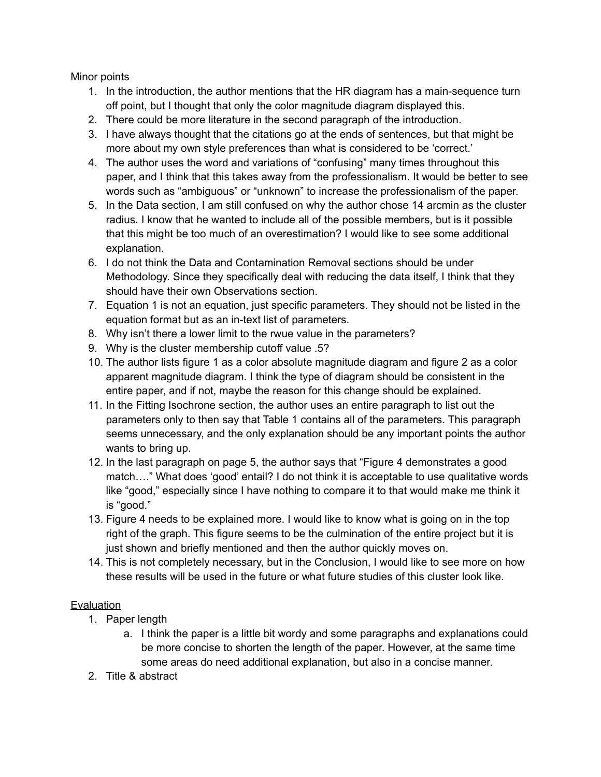Minor points

- 1. In the introduction, the author mentions that the HR diagram has a main-sequence turn off point, but I thought that only the color magnitude diagram displayed this.
- 2. There could be more literature in the second paragraph of the introduction.
- 3. I have always thought that the citations go at the ends of sentences, but that might be more about my own style preferences than what is considered to be 'correct.'
- 4. The author uses the word and variations of "confusing" many times throughout this paper, and I think that this takes away from the professionalism. It would be better to see words such as "ambiguous" or "unknown" to increase the professionalism of the paper.
- 5. In the Data section, I am still confused on why the author chose 14 arcmin as the cluster radius. I know that he wanted to include all of the possible members, but is it possible that this might be too much of an overestimation? I would like to see some additional explanation.
- 6. I do not think the Data and Contamination Removal sections should be under Methodology. Since they specifically deal with reducing the data itself, I think that they should have their own Observations section.
- 7. Equation 1 is not an equation, just specific parameters. They should not be listed in the equation format but as an in-text list of parameters.
- 8. Why isn't there a lower limit to the rwue value in the parameters?
- 9. Why is the cluster membership cutoff value .5?
- 10. The author lists figure 1 as a color absolute magnitude diagram and figure 2 as a color apparent magnitude diagram. I think the type of diagram should be consistent in the entire paper, and if not, maybe the reason for this change should be explained.
- 11. In the Fitting Isochrone section, the author uses an entire paragraph to list out the parameters only to then say that Table 1 contains all of the parameters. This paragraph seems unnecessary, and the only explanation should be any important points the author wants to bring up.
- 12. In the last paragraph on page 5, the author says that "Figure 4 demonstrates a good match…." What does 'good' entail? I do not think it is acceptable to use qualitative words like "good," especially since I have nothing to compare it to that would make me think it is "good."
- 13. Figure 4 needs to be explained more. I would like to know what is going on in the top right of the graph. This figure seems to be the culmination of the entire project but it is just shown and briefly mentioned and then the author quickly moves on.
- 14. This is not completely necessary, but in the Conclusion, I would like to see more on how these results will be used in the future or what future studies of this cluster look like.

## **Evaluation**

- 1. Paper length
	- a. I think the paper is a little bit wordy and some paragraphs and explanations could be more concise to shorten the length of the paper. However, at the same time some areas do need additional explanation, but also in a concise manner.
- 2. Title & abstract